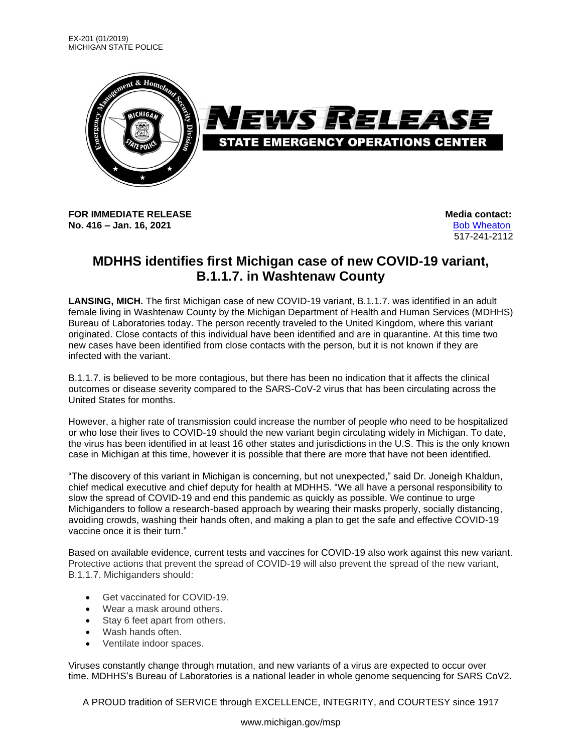

**FOR IMMEDIATE RELEASE Media** contact: **No. 416 – Jan. 16, 2021** [Bob Wheaton](mailto:wheatonb@michigan.gov)

517-241-2112

## **MDHHS identifies first Michigan case of new COVID-19 variant, B.1.1.7. in Washtenaw County**

**LANSING, MICH.** The first Michigan case of new COVID-19 variant, B.1.1.7. was identified in an adult female living in Washtenaw County by the Michigan Department of Health and Human Services (MDHHS) Bureau of Laboratories today. The person recently traveled to the United Kingdom, where this variant originated. Close contacts of this individual have been identified and are in quarantine. At this time two new cases have been identified from close contacts with the person, but it is not known if they are infected with the variant.

B.1.1.7. is believed to be more contagious, but there has been no indication that it affects the clinical outcomes or disease severity compared to the SARS-CoV-2 virus that has been circulating across the United States for months.

However, a higher rate of transmission could increase the number of people who need to be hospitalized or who lose their lives to COVID-19 should the new variant begin circulating widely in Michigan. To date, the virus has been identified in at least 16 other states and jurisdictions in the U.S. This is the only known case in Michigan at this time, however it is possible that there are more that have not been identified.

"The discovery of this variant in Michigan is concerning, but not unexpected," said Dr. Joneigh Khaldun, chief medical executive and chief deputy for health at MDHHS. "We all have a personal responsibility to slow the spread of COVID-19 and end this pandemic as quickly as possible. We continue to urge Michiganders to follow a research-based approach by wearing their masks properly, socially distancing, avoiding crowds, washing their hands often, and making a plan to get the safe and effective COVID-19 vaccine once it is their turn."

Based on available evidence, current tests and vaccines for COVID-19 also work against this new variant. Protective actions that prevent the spread of COVID-19 will also prevent the spread of the new variant, B.1.1.7. Michiganders should:

- Get vaccinated for COVID-19.
- Wear a mask around others.
- Stay 6 feet apart from others.
- Wash hands often.
- Ventilate indoor spaces.

Viruses constantly change through mutation, and new variants of a virus are expected to occur over time. MDHHS's Bureau of Laboratories is a national leader in whole genome sequencing for SARS CoV2.

A PROUD tradition of SERVICE through EXCELLENCE, INTEGRITY, and COURTESY since 1917